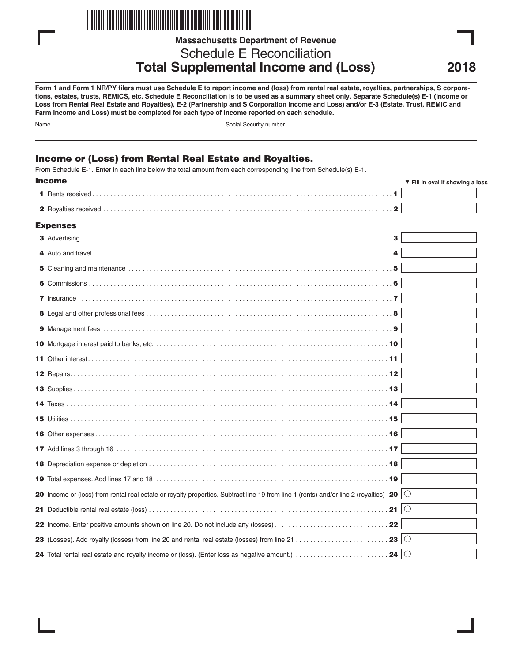

**Massachusetts Department of Revenue**

Schedule E Reconciliation **Total Supplemental Income and (Loss)**

**Form 1 and Form 1 NR/PY filers must use Schedule E to report income and (loss) from rental real estate, royalties, partnerships, S corporations, estates, trusts, REMICS, etc. Schedule E Reconciliation is to be used as a summary sheet only. Separate Schedule(s) E-1 (Income or Loss from Rental Real Estate and Royalties), E-2 (Partnership and S Corporation Income and Loss) and/or E-3 (Estate, Trust, REMIC and Farm Income and Loss) must be completed for each type of income reported on each schedule.**

| .<br>× | I |
|--------|---|
|        |   |

Social Security number

# Income or (Loss) from Rental Real Estate and Royalties.

From Schedule E-1. Enter in each line below the total amount from each corresponding line from Schedule(s) E-1.

| <b>Income</b>                                                                                                                                        | ▼ Fill in oval if showing a loss |
|------------------------------------------------------------------------------------------------------------------------------------------------------|----------------------------------|
|                                                                                                                                                      |                                  |
| $\mathbf{2}$                                                                                                                                         |                                  |
| <b>Expenses</b>                                                                                                                                      |                                  |
|                                                                                                                                                      |                                  |
|                                                                                                                                                      |                                  |
|                                                                                                                                                      |                                  |
|                                                                                                                                                      |                                  |
|                                                                                                                                                      |                                  |
|                                                                                                                                                      |                                  |
|                                                                                                                                                      |                                  |
|                                                                                                                                                      |                                  |
|                                                                                                                                                      |                                  |
|                                                                                                                                                      |                                  |
|                                                                                                                                                      |                                  |
|                                                                                                                                                      |                                  |
|                                                                                                                                                      |                                  |
|                                                                                                                                                      |                                  |
|                                                                                                                                                      |                                  |
|                                                                                                                                                      |                                  |
|                                                                                                                                                      |                                  |
| 20 Income or (loss) from rental real estate or royalty properties. Subtract line 19 from line 1 (rents) and/or line 2 (royalties) 20 $\vert$ $\circ$ |                                  |
| 21 Deductible rental real estate (loss) $\dots\dots\dots\dots\dots\dots\dots\dots\dots\dots\dots\dots\dots\dots\dots\dots\dots$ . 21 $\mid\bigcirc$  |                                  |
|                                                                                                                                                      |                                  |
| 23 $\circ$                                                                                                                                           |                                  |
| 24 $\circ$<br>24 Total rental real estate and royalty income or (loss). (Enter loss as negative amount.)                                             |                                  |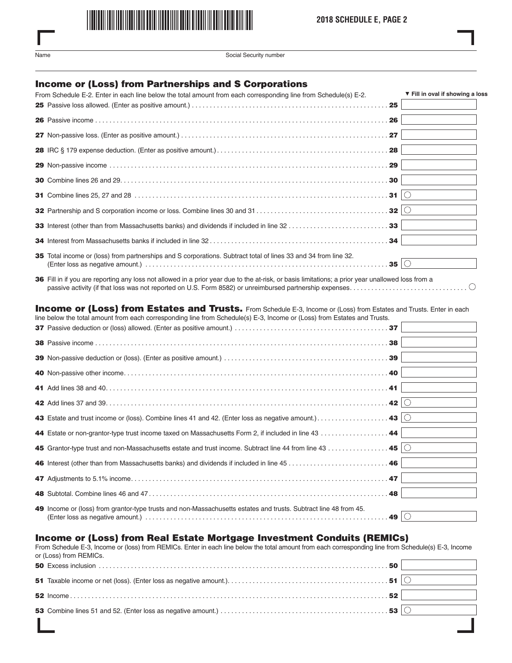

Name Social Security number

# Income or (Loss) from Partnerships and S Corporations

| From Schedule E-2. Enter in each line below the total amount from each corresponding line from Schedule(s) E-2. | ▼ Fill in oval if showing a loss |
|-----------------------------------------------------------------------------------------------------------------|----------------------------------|
|                                                                                                                 |                                  |
|                                                                                                                 |                                  |
|                                                                                                                 |                                  |
|                                                                                                                 |                                  |
|                                                                                                                 |                                  |
|                                                                                                                 |                                  |
|                                                                                                                 |                                  |
|                                                                                                                 |                                  |
|                                                                                                                 |                                  |
|                                                                                                                 |                                  |
| 35 Total income or (loss) from partnerships and S corporations. Subtract total of lines 33 and 34 from line 32. |                                  |
|                                                                                                                 |                                  |

36 Fill in if you are reporting any loss not allowed in a prior year due to the at-risk, or basis limitations; a prior year unallowed loss from a passive activity (if that loss was not reported on U.S. Form 8582) or unreimbursed partnership expenses. . . . . . . . . . . . . . . . . . . . . . . . . . . . . . . . .

#### Income or (Loss) from Estates and Trusts. From Schedule E-3, Income or (Loss) from Estates and Trusts. Enter in each line below the total amount from each corresponding line from Schedule(s) E-3, Income or (Loss) from Estates and Trusts.

| $\frac{1}{2}$ bolon and total amount non-capit conceptinging line non-concealeter $L$ , income or (E000) non-E0tated and made. |        |  |
|--------------------------------------------------------------------------------------------------------------------------------|--------|--|
|                                                                                                                                |        |  |
|                                                                                                                                | 38     |  |
|                                                                                                                                |        |  |
|                                                                                                                                |        |  |
|                                                                                                                                |        |  |
|                                                                                                                                |        |  |
|                                                                                                                                |        |  |
|                                                                                                                                |        |  |
| 45 Grantor-type trust and non-Massachusetts estate and trust income. Subtract line 44 from line 43 45 $\circ$                  |        |  |
|                                                                                                                                |        |  |
|                                                                                                                                |        |  |
|                                                                                                                                |        |  |
| 49 Income or (loss) from grantor-type trusts and non-Massachusetts estates and trusts. Subtract line 48 from 45.               | .49 ∣⊜ |  |

# Income or (Loss) from Real Estate Mortgage Investment Conduits (REMICs)

From Schedule E-3, Income or (loss) from REMICs. Enter in each line below the total amount from each corresponding line from Schedule(s) E-3, Income or (Loss) from REMICs.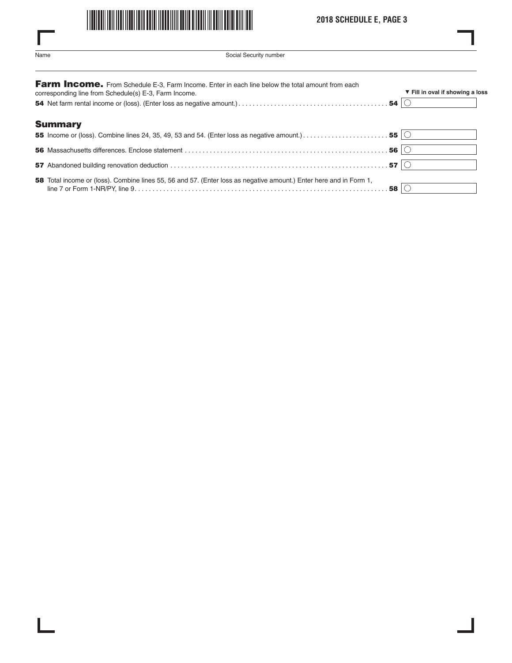

# **2018 SCHEDULE E, PAGE 3**

L

| .<br>× | ×<br>۰. |
|--------|---------|

ı

 $\overline{\phantom{a}}$ 

Social Security number

| Farm Income. From Schedule E-3, Farm Income. Enter in each line below the total amount from each<br>corresponding line from Schedule(s) E-3, Farm Income. | ▼ Fill in oval if showing a loss |
|-----------------------------------------------------------------------------------------------------------------------------------------------------------|----------------------------------|
|                                                                                                                                                           |                                  |
| <b>Summary</b>                                                                                                                                            |                                  |
|                                                                                                                                                           |                                  |
|                                                                                                                                                           |                                  |
|                                                                                                                                                           |                                  |
| 58 Total income or (loss). Combine lines 55, 56 and 57. (Enter loss as negative amount.) Enter here and in Form 1,                                        |                                  |